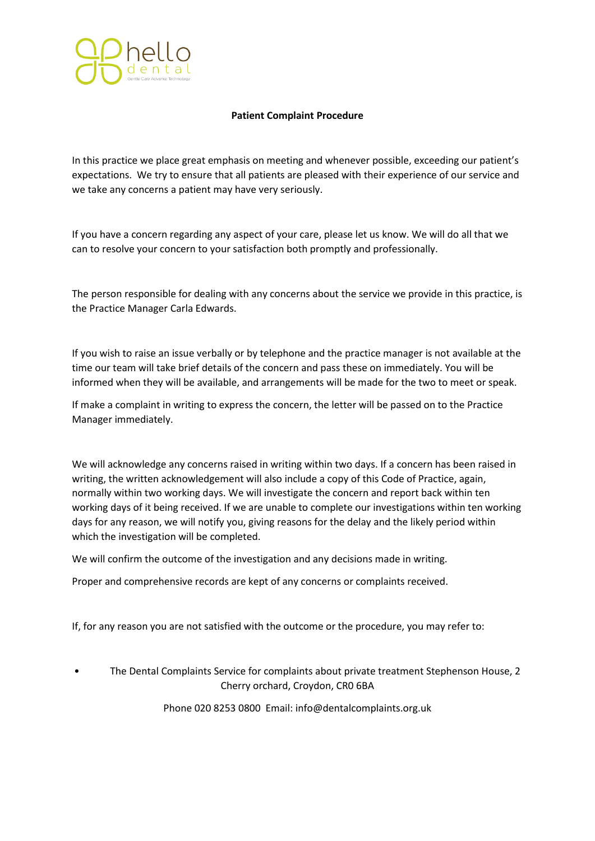

## **Patient Complaint Procedure**

In this practice we place great emphasis on meeting and whenever possible, exceeding our patient's expectations. We try to ensure that all patients are pleased with their experience of our service and we take any concerns a patient may have very seriously.

If you have a concern regarding any aspect of your care, please let us know. We will do all that we can to resolve your concern to your satisfaction both promptly and professionally.

The person responsible for dealing with any concerns about the service we provide in this practice, is the Practice Manager Carla Edwards.

If you wish to raise an issue verbally or by telephone and the practice manager is not available at the time our team will take brief details of the concern and pass these on immediately. You will be informed when they will be available, and arrangements will be made for the two to meet or speak.

If make a complaint in writing to express the concern, the letter will be passed on to the Practice Manager immediately.

We will acknowledge any concerns raised in writing within two days. If a concern has been raised in writing, the written acknowledgement will also include a copy of this Code of Practice, again, normally within two working days. We will investigate the concern and report back within ten working days of it being received. If we are unable to complete our investigations within ten working days for any reason, we will notify you, giving reasons for the delay and the likely period within which the investigation will be completed.

We will confirm the outcome of the investigation and any decisions made in writing.

Proper and comprehensive records are kept of any concerns or complaints received.

If, for any reason you are not satisfied with the outcome or the procedure, you may refer to:

• The Dental Complaints Service for complaints about private treatment Stephenson House, 2 Cherry orchard, Croydon, CR0 6BA

Phone 020 8253 0800 Email: info@dentalcomplaints.org.uk